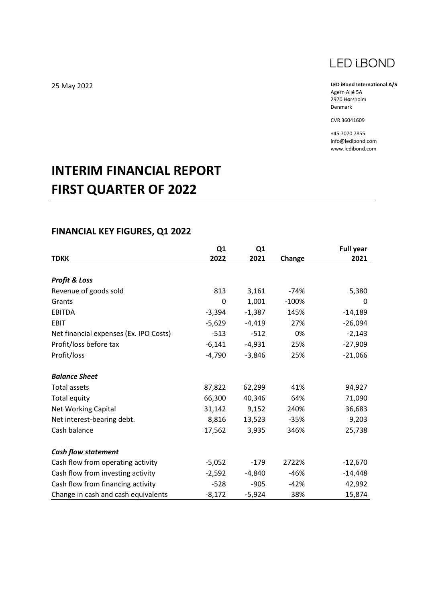

**LED iBond International A/S** Agern Allé 5A 2970 Hørsholm Denmark

CVR 36041609

+45 7070 7855 info@ledibond.com www.ledibond.com

# **INTERIM FINANCIAL REPORT FIRST QUARTER OF 2022**

## **FINANCIAL KEY FIGURES, Q1 2022**

|                                        | Q1       | Q1       |         | <b>Full year</b> |
|----------------------------------------|----------|----------|---------|------------------|
| <b>TDKK</b>                            | 2022     | 2021     | Change  | 2021             |
|                                        |          |          |         |                  |
| <b>Profit &amp; Loss</b>               |          |          |         |                  |
| Revenue of goods sold                  | 813      | 3,161    | $-74%$  | 5,380            |
| Grants                                 | 0        | 1,001    | $-100%$ | 0                |
| <b>EBITDA</b>                          | $-3,394$ | $-1,387$ | 145%    | $-14,189$        |
| <b>EBIT</b>                            | $-5,629$ | $-4,419$ | 27%     | $-26,094$        |
| Net financial expenses (Ex. IPO Costs) | $-513$   | $-512$   | 0%      | $-2,143$         |
| Profit/loss before tax                 | $-6,141$ | $-4,931$ | 25%     | $-27,909$        |
| Profit/loss                            | $-4,790$ | $-3,846$ | 25%     | $-21,066$        |
| <b>Balance Sheet</b>                   |          |          |         |                  |
| <b>Total assets</b>                    | 87,822   | 62,299   | 41%     | 94,927           |
| <b>Total equity</b>                    | 66,300   | 40,346   | 64%     | 71,090           |
| Net Working Capital                    | 31,142   | 9,152    | 240%    | 36,683           |
| Net interest-bearing debt.             | 8,816    | 13,523   | $-35%$  | 9,203            |
| Cash balance                           | 17,562   | 3,935    | 346%    | 25,738           |
| <b>Cash flow statement</b>             |          |          |         |                  |
| Cash flow from operating activity      | $-5,052$ | $-179$   | 2722%   | $-12,670$        |
| Cash flow from investing activity      | $-2,592$ | -4,840   | $-46%$  | $-14,448$        |
| Cash flow from financing activity      | $-528$   | $-905$   | $-42%$  | 42,992           |
| Change in cash and cash equivalents    | $-8,172$ | $-5,924$ | 38%     | 15,874           |

25 May 2022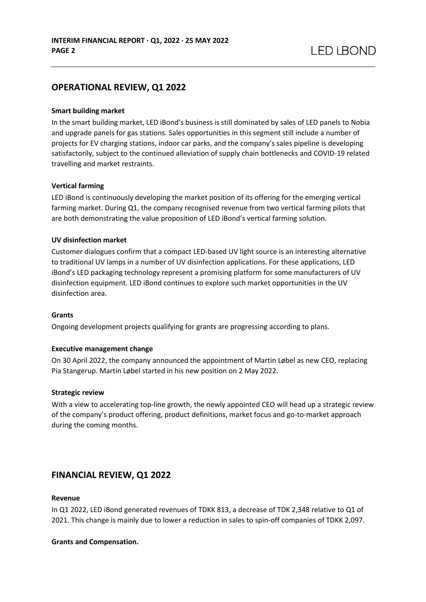## **OPERATIONAL REVIEW, Q1 2022**

#### **Smart building market**

In the smart building market, LED iBond's business is still dominated by sales of LED panels to Nobia and upgrade panels for gas stations. Sales opportunities in this segment still include a number of projects for EV charging stations, indoor car parks, and the company's sales pipeline is developing satisfactorily, subject to the continued alleviation of supply chain bottlenecks and COVID-19 related travelling and market restraints.

#### **Vertical farming**

LED iBond is continuously developing the market position of its offering for the emerging vertical farming market. During Q1, the company recognised revenue from two vertical farming pilots that are both demonstrating the value proposition of LED iBond's vertical farming solution.

#### **UV disinfection market**

Customer dialogues confirm that a compact LED-based UV light source is an interesting alternative to traditional UV lamps in a number of UV disinfection applications. For these applications, LED iBond's LED packaging technology represent a promising platform for some manufacturers of UV disinfection equipment. LED iBond continues to explore such market opportunities in the UV disinfection area.

#### **Grants**

Ongoing development projects qualifying for grants are progressing according to plans.

#### **Executive management change**

On 30 April 2022, the company announced the appointment of Martin Løbel as new CEO, replacing Pia Stangerup. Martin Løbel started in his new position on 2 May 2022.

#### **Strategic review**

With a view to accelerating top-line growth, the newly appointed CEO will head up a strategic review of the company's product offering, product definitions, market focus and go-to-market approach during the coming months.

### **FINANCIAL REVIEW, Q1 2022**

#### **Revenue**

In Q1 2022, LED iBond generated revenues of TDKK 813, a decrease of TDK 2,348 relative to Q1 of 2021. This change is mainly due to lower a reduction in sales to spin-off companies of TDKK 2,097.

#### **Grants and Compensation.**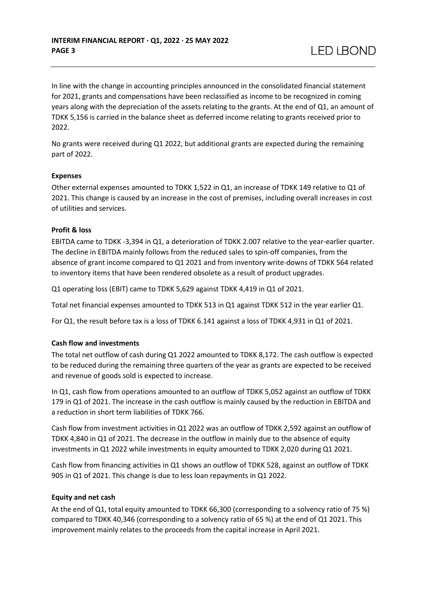In line with the change in accounting principles announced in the consolidated financial statement for 2021, grants and compensations have been reclassified as income to be recognized in coming years along with the depreciation of the assets relating to the grants. At the end of Q1, an amount of TDKK 5,156 is carried in the balance sheet as deferred income relating to grants received prior to 2022.

No grants were received during Q1 2022, but additional grants are expected during the remaining part of 2022.

#### **Expenses**

Other external expenses amounted to TDKK 1,522 in Q1, an increase of TDKK 149 relative to Q1 of 2021. This change is caused by an increase in the cost of premises, including overall increases in cost of utilities and services.

#### **Profit & loss**

EBITDA came to TDKK -3,394 in Q1, a deterioration of TDKK 2.007 relative to the year-earlier quarter. The decline in EBITDA mainly follows from the reduced sales to spin-off companies, from the absence of grant income compared to Q1 2021 and from inventory write-downs of TDKK 564 related to inventory items that have been rendered obsolete as a result of product upgrades.

Q1 operating loss (EBIT) came to TDKK 5,629 against TDKK 4,419 in Q1 of 2021.

Total net financial expenses amounted to TDKK 513 in Q1 against TDKK 512 in the year earlier Q1.

For Q1, the result before tax is a loss of TDKK 6.141 against a loss of TDKK 4,931 in Q1 of 2021.

#### **Cash flow and investments**

The total net outflow of cash during Q1 2022 amounted to TDKK 8,172. The cash outflow is expected to be reduced during the remaining three quarters of the year as grants are expected to be received and revenue of goods sold is expected to increase.

In Q1, cash flow from operations amounted to an outflow of TDKK 5,052 against an outflow of TDKK 179 in Q1 of 2021. The increase in the cash outflow is mainly caused by the reduction in EBITDA and a reduction in short term liabilities of TDKK 766.

Cash flow from investment activities in Q1 2022 was an outflow of TDKK 2,592 against an outflow of TDKK 4,840 in Q1 of 2021. The decrease in the outflow in mainly due to the absence of equity investments in Q1 2022 while investments in equity amounted to TDKK 2,020 during Q1 2021.

Cash flow from financing activities in Q1 shows an outflow of TDKK 528, against an outflow of TDKK 905 in Q1 of 2021. This change is due to less loan repayments in Q1 2022.

#### **Equity and net cash**

At the end of Q1, total equity amounted to TDKK 66,300 (corresponding to a solvency ratio of 75 %) compared to TDKK 40,346 (corresponding to a solvency ratio of 65 %) at the end of Q1 2021. This improvement mainly relates to the proceeds from the capital increase in April 2021.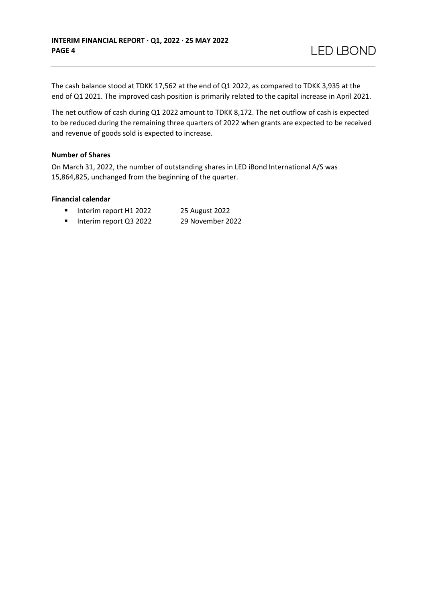The cash balance stood at TDKK 17,562 at the end of Q1 2022, as compared to TDKK 3,935 at the end of Q1 2021. The improved cash position is primarily related to the capital increase in April 2021.

The net outflow of cash during Q1 2022 amount to TDKK 8,172. The net outflow of cash is expected to be reduced during the remaining three quarters of 2022 when grants are expected to be received and revenue of goods sold is expected to increase.

#### **Number of Shares**

On March 31, 2022, the number of outstanding shares in LED iBond International A/S was 15,864,825, unchanged from the beginning of the quarter.

#### **Financial calendar**

- Interim report H1 2022 25 August 2022
- Interim report Q3 2022 29 November 2022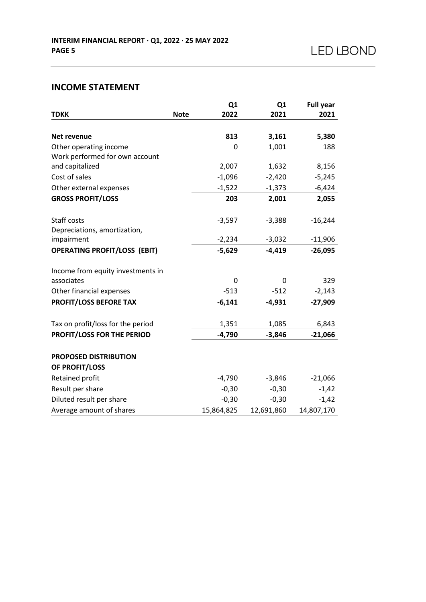## **INCOME STATEMENT**

|                                     |             | Q1         | Q <sub>1</sub> | <b>Full year</b> |
|-------------------------------------|-------------|------------|----------------|------------------|
| <b>TDKK</b>                         | <b>Note</b> | 2022       | 2021           | 2021             |
|                                     |             |            |                |                  |
| Net revenue                         |             | 813        | 3,161          | 5,380            |
| Other operating income              |             | 0          | 1,001          | 188              |
| Work performed for own account      |             |            |                |                  |
| and capitalized                     |             | 2,007      | 1,632          | 8,156            |
| Cost of sales                       |             | $-1,096$   | $-2,420$       | $-5,245$         |
| Other external expenses             |             | $-1,522$   | $-1,373$       | $-6,424$         |
| <b>GROSS PROFIT/LOSS</b>            |             | 203        | 2,001          | 2,055            |
| Staff costs                         |             | $-3,597$   | $-3,388$       | $-16,244$        |
| Depreciations, amortization,        |             |            |                |                  |
| impairment                          |             | $-2,234$   | $-3,032$       | $-11,906$        |
| <b>OPERATING PROFIT/LOSS (EBIT)</b> |             | $-5,629$   | $-4,419$       | $-26,095$        |
|                                     |             |            |                |                  |
| Income from equity investments in   |             |            |                |                  |
| associates                          |             | 0          | 0              | 329              |
| Other financial expenses            |             | $-513$     | $-512$         | $-2,143$         |
| <b>PROFIT/LOSS BEFORE TAX</b>       |             | $-6,141$   | $-4,931$       | $-27,909$        |
| Tax on profit/loss for the period   |             | 1,351      | 1,085          | 6,843            |
| PROFIT/LOSS FOR THE PERIOD          |             | $-4,790$   | $-3,846$       | $-21,066$        |
|                                     |             |            |                |                  |
| <b>PROPOSED DISTRIBUTION</b>        |             |            |                |                  |
| OF PROFIT/LOSS                      |             |            |                |                  |
| Retained profit                     |             | $-4,790$   | $-3,846$       | $-21,066$        |
| Result per share                    |             | $-0,30$    | $-0,30$        | $-1,42$          |
| Diluted result per share            |             | $-0,30$    | $-0,30$        | $-1,42$          |
| Average amount of shares            |             | 15,864,825 | 12,691,860     | 14,807,170       |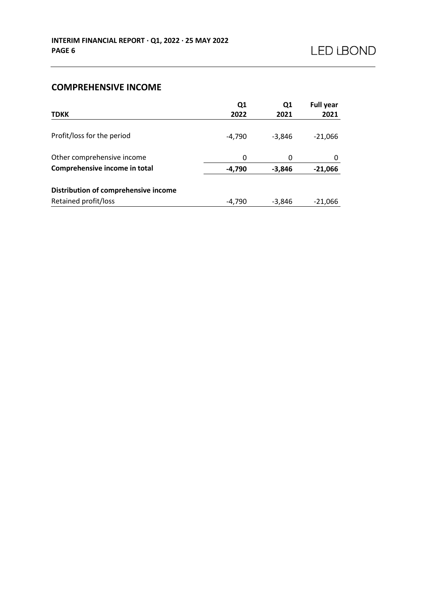## **COMPREHENSIVE INCOME**

| <b>TDKK</b>                          | Q1<br>2022 | Q1<br>2021 | <b>Full year</b><br>2021 |
|--------------------------------------|------------|------------|--------------------------|
|                                      |            |            |                          |
| Profit/loss for the period           | $-4.790$   | $-3,846$   | $-21,066$                |
| Other comprehensive income           | 0          | 0          | 0                        |
| Comprehensive income in total        | -4,790     | $-3,846$   | $-21,066$                |
| Distribution of comprehensive income |            |            |                          |
| Retained profit/loss                 | $-4,790$   | $-3,846$   | $-21,066$                |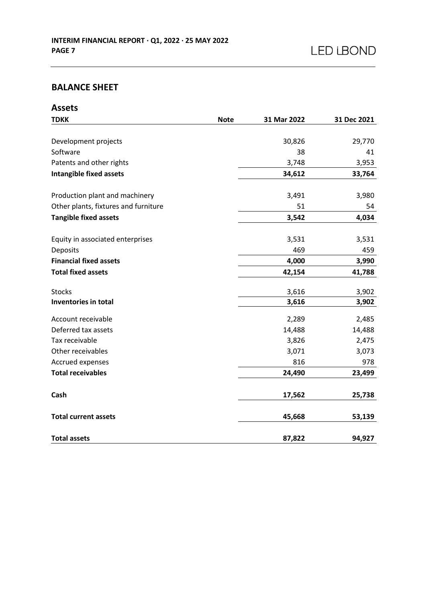# **BALANCE SHEET**

| <b>Assets</b>                        |             |             |             |
|--------------------------------------|-------------|-------------|-------------|
| <b>TDKK</b>                          | <b>Note</b> | 31 Mar 2022 | 31 Dec 2021 |
|                                      |             |             |             |
| Development projects                 |             | 30,826      | 29,770      |
| Software                             |             | 38          | 41          |
| Patents and other rights             |             | 3,748       | 3,953       |
| <b>Intangible fixed assets</b>       |             | 34,612      | 33,764      |
| Production plant and machinery       |             | 3,491       | 3,980       |
| Other plants, fixtures and furniture |             | 51          | 54          |
| <b>Tangible fixed assets</b>         |             | 3,542       | 4,034       |
|                                      |             |             |             |
| Equity in associated enterprises     |             | 3,531       | 3,531       |
| Deposits                             |             | 469         | 459         |
| <b>Financial fixed assets</b>        |             | 4,000       | 3,990       |
| <b>Total fixed assets</b>            |             | 42,154      | 41,788      |
| <b>Stocks</b>                        |             | 3,616       | 3,902       |
| Inventories in total                 |             | 3,616       | 3,902       |
| Account receivable                   |             | 2,289       | 2,485       |
| Deferred tax assets                  |             | 14,488      | 14,488      |
| Tax receivable                       |             | 3,826       | 2,475       |
| Other receivables                    |             | 3,071       | 3,073       |
| Accrued expenses                     |             | 816         | 978         |
| <b>Total receivables</b>             |             | 24,490      | 23,499      |
| Cash                                 |             | 17,562      | 25,738      |
| <b>Total current assets</b>          |             | 45,668      | 53,139      |
| <b>Total assets</b>                  |             | 87,822      | 94,927      |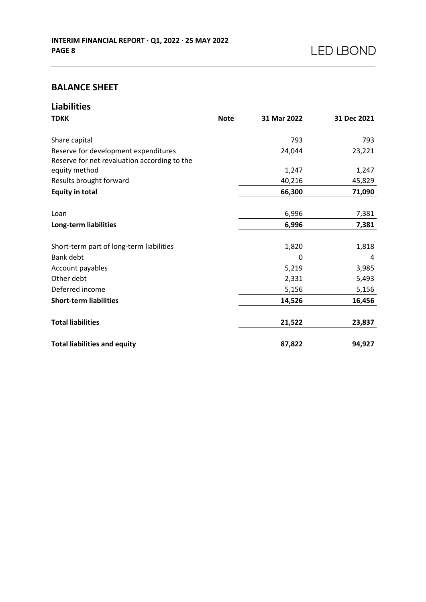## **BALANCE SHEET**

| <b>Liabilities</b>                           |             |             |             |
|----------------------------------------------|-------------|-------------|-------------|
| <b>TDKK</b>                                  | <b>Note</b> | 31 Mar 2022 | 31 Dec 2021 |
|                                              |             |             |             |
| Share capital                                |             | 793         | 793         |
| Reserve for development expenditures         |             | 24,044      | 23,221      |
| Reserve for net revaluation according to the |             |             |             |
| equity method                                |             | 1,247       | 1,247       |
| Results brought forward                      |             | 40,216      | 45,829      |
| <b>Equity in total</b>                       |             | 66,300      | 71,090      |
|                                              |             |             |             |
| Loan                                         |             | 6,996       | 7,381       |
| Long-term liabilities                        |             | 6,996       | 7,381       |
|                                              |             |             |             |
| Short-term part of long-term liabilities     |             | 1,820       | 1,818       |
| Bank debt                                    |             | 0           | 4           |
| Account payables                             |             | 5,219       | 3,985       |
| Other debt                                   |             | 2,331       | 5,493       |
| Deferred income                              |             | 5,156       | 5,156       |
| <b>Short-term liabilities</b>                |             | 14,526      | 16,456      |
| <b>Total liabilities</b>                     |             | 21,522      | 23,837      |
|                                              |             |             |             |
| <b>Total liabilities and equity</b>          |             | 87,822      | 94,927      |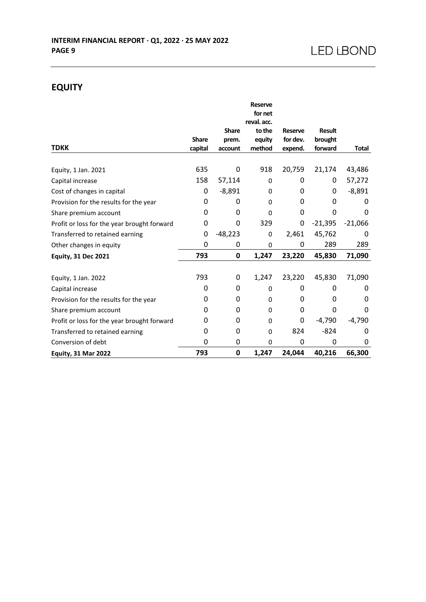# **EQUITY**

|                                             |              |              | <b>Reserve</b>         |          |               |              |
|---------------------------------------------|--------------|--------------|------------------------|----------|---------------|--------------|
|                                             |              |              | for net<br>reval. acc. |          |               |              |
|                                             |              | <b>Share</b> | to the                 | Reserve  | <b>Result</b> |              |
|                                             | <b>Share</b> | prem.        | equity                 | for dev. | brought       |              |
| <b>TDKK</b>                                 | capital      | account      | method                 | expend.  | forward       | <b>Total</b> |
|                                             |              |              |                        |          |               |              |
| Equity, 1 Jan. 2021                         | 635          | 0            | 918                    | 20,759   | 21,174        | 43,486       |
| Capital increase                            | 158          | 57,114       | $\Omega$               | 0        | 0             | 57,272       |
| Cost of changes in capital                  | 0            | $-8,891$     | 0                      | 0        | 0             | $-8,891$     |
| Provision for the results for the year      | 0            | 0            | 0                      | 0        | 0             | 0            |
| Share premium account                       | 0            | 0            | $\Omega$               | 0        | 0             | 0            |
| Profit or loss for the year brought forward | 0            | 0            | 329                    | 0        | $-21,395$     | $-21,066$    |
| Transferred to retained earning             | 0            | $-48,223$    | 0                      | 2,461    | 45,762        | 0            |
| Other changes in equity                     | 0            | 0            | 0                      | 0        | 289           | 289          |
| <b>Equity, 31 Dec 2021</b>                  | 793          | 0            | 1,247                  | 23,220   | 45,830        | 71,090       |
| Equity, 1 Jan. 2022                         | 793          | 0            | 1,247                  | 23,220   | 45,830        | 71,090       |
| Capital increase                            | 0            | 0            | 0                      | 0        | 0             | 0            |
| Provision for the results for the year      | 0            | 0            | 0                      | 0        | 0             | 0            |
| Share premium account                       | 0            | 0            | $\Omega$               | 0        | 0             | 0            |
| Profit or loss for the year brought forward | 0            | 0            | 0                      | 0        | $-4,790$      | $-4,790$     |
| Transferred to retained earning             | 0            | 0            | $\Omega$               | 824      | $-824$        | 0            |
| Conversion of debt                          | 0            | 0            | 0                      | 0        | 0             | 0            |
| <b>Equity, 31 Mar 2022</b>                  | 793          | 0            | 1,247                  | 24,044   | 40,216        | 66,300       |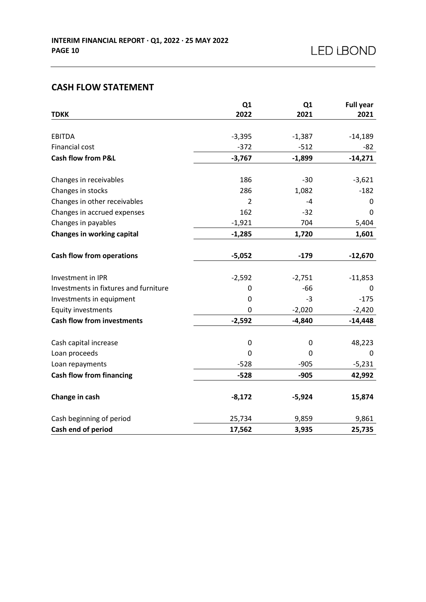## **CASH FLOW STATEMENT**

|                                       | Q1             | Q <sub>1</sub> | <b>Full year</b> |
|---------------------------------------|----------------|----------------|------------------|
| <b>TDKK</b>                           | 2022           | 2021           | 2021             |
| <b>EBITDA</b>                         | $-3,395$       | $-1,387$       | $-14,189$        |
| Financial cost                        | $-372$         | $-512$         | -82              |
| <b>Cash flow from P&amp;L</b>         | $-3,767$       | $-1,899$       | $-14,271$        |
| Changes in receivables                | 186            | $-30$          | $-3,621$         |
| Changes in stocks                     | 286            | 1,082          | $-182$           |
| Changes in other receivables          | $\overline{2}$ | $-4$           | 0                |
| Changes in accrued expenses           | 162            | $-32$          | 0                |
| Changes in payables                   | $-1,921$       | 704            | 5,404            |
| <b>Changes in working capital</b>     | $-1,285$       | 1,720          | 1,601            |
|                                       |                |                |                  |
| <b>Cash flow from operations</b>      | $-5,052$       | $-179$         | $-12,670$        |
| Investment in IPR                     | $-2,592$       | $-2,751$       | $-11,853$        |
| Investments in fixtures and furniture | 0              | $-66$          | 0                |
| Investments in equipment              | 0              | $-3$           | $-175$           |
| <b>Equity investments</b>             | 0              | $-2,020$       | $-2,420$         |
| <b>Cash flow from investments</b>     | $-2,592$       | $-4,840$       | $-14,448$        |
| Cash capital increase                 | $\pmb{0}$      | $\mathbf 0$    | 48,223           |
| Loan proceeds                         | 0              | 0              | 0                |
| Loan repayments                       | $-528$         | $-905$         | $-5,231$         |
| <b>Cash flow from financing</b>       | $-528$         | $-905$         | 42,992           |
|                                       |                |                |                  |
| Change in cash                        | $-8,172$       | $-5,924$       | 15,874           |
| Cash beginning of period              | 25,734         | 9,859          | 9,861            |
| Cash end of period                    | 17,562         | 3,935          | 25,735           |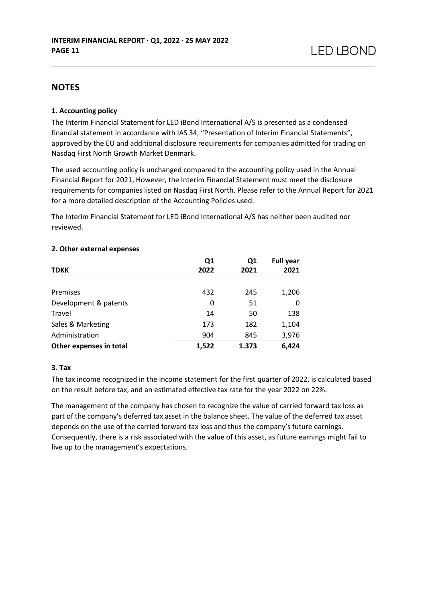## **NOTES**

#### **1. Accounting policy**

The Interim Financial Statement for LED iBond International A/S is presented as a condensed financial statement in accordance with IAS 34, "Presentation of Interim Financial Statements", approved by the EU and additional disclosure requirements for companies admitted for trading on Nasdaq First North Growth Market Denmark.

The used accounting policy is unchanged compared to the accounting policy used in the Annual Financial Report for 2021, However, the Interim Financial Statement must meet the disclosure requirements for companies listed on Nasdaq First North. Please refer to the Annual Report for 2021 for a more detailed description of the Accounting Policies used.

The Interim Financial Statement for LED iBond International A/S has neither been audited nor reviewed.

| <b>TDKK</b>             | Q1<br>2022 | Q1<br>2021 | <b>Full year</b><br>2021 |
|-------------------------|------------|------------|--------------------------|
| Premises                | 432        | 245        | 1,206                    |
| Development & patents   | 0          | 51         | 0                        |
| Travel                  | 14         | 50         | 138                      |
| Sales & Marketing       | 173        | 182        | 1,104                    |
| Administration          | 904        | 845        | 3,976                    |
| Other expenses in total | 1,522      | 1.373      | 6,424                    |

#### **2. Other external expenses**

#### **3. Tax**

The tax income recognized in the income statement for the first quarter of 2022, is calculated based on the result before tax, and an estimated effective tax rate for the year 2022 on 22%.

The management of the company has chosen to recognize the value of carried forward tax loss as part of the company's deferred tax asset in the balance sheet. The value of the deferred tax asset depends on the use of the carried forward tax loss and thus the company's future earnings. Consequently, there is a risk associated with the value of this asset, as future earnings might fail to live up to the management's expectations.